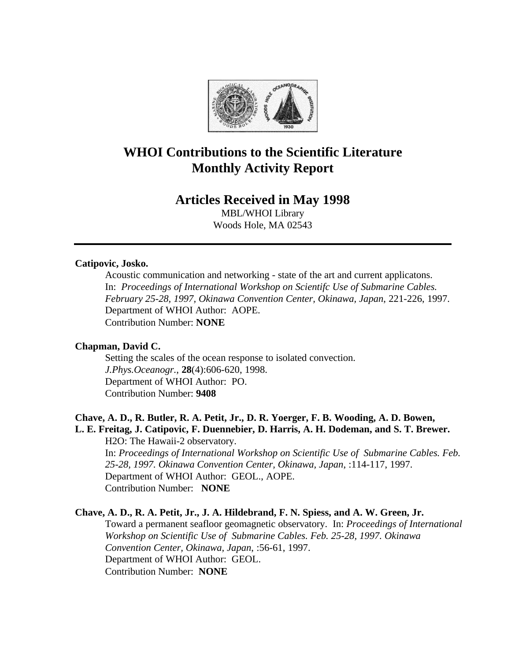

# **WHOI Contributions to the Scientific Literature Monthly Activity Report**

# **Articles Received in May 1998**

MBL/WHOI Library Woods Hole, MA 02543

#### **Catipovic, Josko.**

Acoustic communication and networking - state of the art and current applicatons. In: *Proceedings of International Workshop on Scientifc Use of Submarine Cables. February 25-28, 1997, Okinawa Convention Center, Okinawa, Japan*, 221-226, 1997. Department of WHOI Author: AOPE. Contribution Number: **NONE**

# **Chapman, David C.**

Setting the scales of the ocean response to isolated convection. *J.Phys.Oceanogr.*, **28**(4):606-620, 1998. Department of WHOI Author: PO. Contribution Number: **9408**

#### **Chave, A. D., R. Butler, R. A. Petit, Jr., D. R. Yoerger, F. B. Wooding, A. D. Bowen, L. E. Freitag, J. Catipovic, F. Duennebier, D. Harris, A. H. Dodeman, and S. T. Brewer.**

H2O: The Hawaii-2 observatory. In: *Proceedings of International Workshop on Scientific Use of Submarine Cables. Feb. 25-28, 1997. Okinawa Convention Center, Okinawa, Japan*, :114-117, 1997. Department of WHOI Author: GEOL., AOPE. Contribution Number: **NONE**

# **Chave, A. D., R. A. Petit, Jr., J. A. Hildebrand, F. N. Spiess, and A. W. Green, Jr.**

Toward a permanent seafloor geomagnetic observatory. In: *Proceedings of International Workshop on Scientific Use of Submarine Cables. Feb. 25-28, 1997. Okinawa Convention Center, Okinawa, Japan*, :56-61, 1997. Department of WHOI Author: GEOL. Contribution Number: **NONE**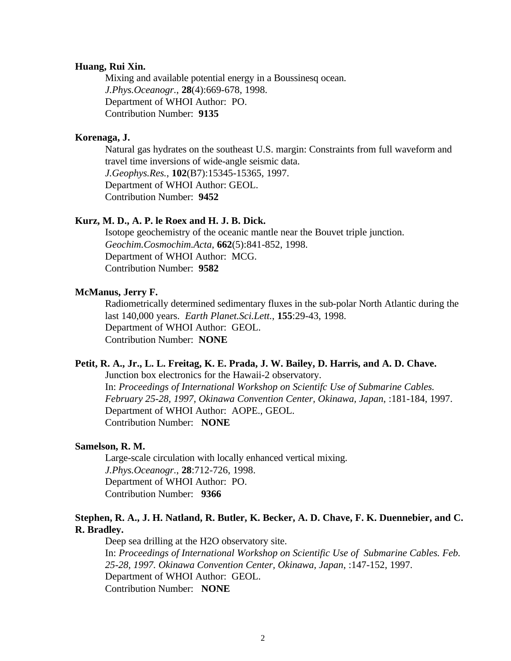#### **Huang, Rui Xin.**

Mixing and available potential energy in a Boussinesq ocean. *J.Phys.Oceanogr.*, **28**(4):669-678, 1998. Department of WHOI Author: PO. Contribution Number: **9135**

#### **Korenaga, J.**

Natural gas hydrates on the southeast U.S. margin: Constraints from full waveform and travel time inversions of wide-angle seismic data. *J.Geophys.Res.*, **102**(B7):15345-15365, 1997. Department of WHOI Author: GEOL. Contribution Number: **9452**

#### **Kurz, M. D., A. P. le Roex and H. J. B. Dick.**

Isotope geochemistry of the oceanic mantle near the Bouvet triple junction. *Geochim.Cosmochim.Acta*, **662**(5):841-852, 1998. Department of WHOI Author: MCG. Contribution Number: **9582**

#### **McManus, Jerry F.**

Radiometrically determined sedimentary fluxes in the sub-polar North Atlantic during the last 140,000 years. *Earth Planet.Sci.Lett.*, **155**:29-43, 1998. Department of WHOI Author: GEOL. Contribution Number: **NONE**

#### **Petit, R. A., Jr., L. L. Freitag, K. E. Prada, J. W. Bailey, D. Harris, and A. D. Chave.**

Junction box electronics for the Hawaii-2 observatory. In: *Proceedings of International Workshop on Scientifc Use of Submarine Cables. February 25-28, 1997, Okinawa Convention Center, Okinawa, Japan*, :181-184, 1997. Department of WHOI Author: AOPE., GEOL. Contribution Number: **NONE**

#### **Samelson, R. M.**

Large-scale circulation with locally enhanced vertical mixing. *J.Phys.Oceanogr.*, **28**:712-726, 1998. Department of WHOI Author: PO. Contribution Number: **9366**

#### **Stephen, R. A., J. H. Natland, R. Butler, K. Becker, A. D. Chave, F. K. Duennebier, and C. R. Bradley.**

Deep sea drilling at the H2O observatory site. In: *Proceedings of International Workshop on Scientific Use of Submarine Cables. Feb. 25-28, 1997. Okinawa Convention Center, Okinawa, Japan*, :147-152, 1997. Department of WHOI Author: GEOL. Contribution Number: **NONE**